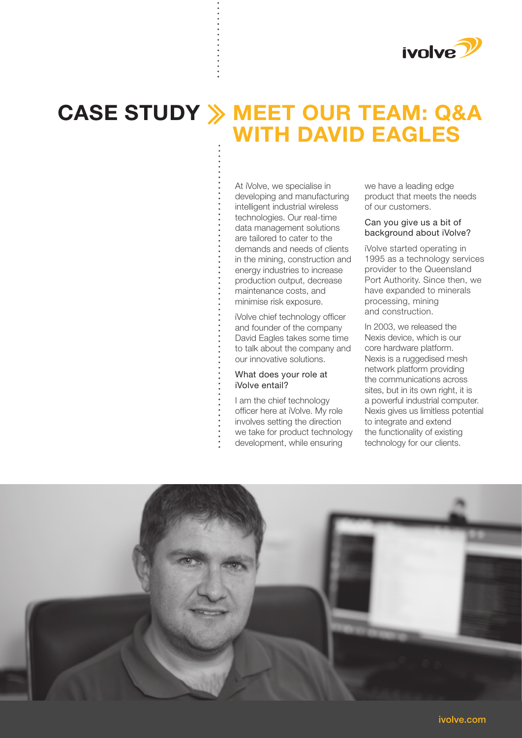

# **MEET OUR TEAM: Q&A CASE STUDYWITH DAVID EAGLES**

At iVolve, we specialise in developing and manufacturing intelligent industrial wireless technologies. Our real-time data management solutions are tailored to cater to the demands and needs of clients in the mining, construction and energy industries to increase production output, decrease maintenance costs, and minimise risk exposure.

iVolve chief technology officer and founder of the company David Eagles takes some time to talk about the company and our innovative solutions.

# What does your role at iVolve entail?

I am the chief technology officer here at iVolve. My role involves setting the direction we take for product technology development, while ensuring

we have a leading edge product that meets the needs of our customers.

#### Can you give us a bit of background about iVolve?

iVolve started operating in 1995 as a technology services provider to the Queensland Port Authority. Since then, we have expanded to minerals processing, mining and construction.

In 2003, we released the Nexis device, which is our core hardware platform. Nexis is a ruggedised mesh network platform providing the communications across sites, but in its own right, it is a powerful industrial computer. Nexis gives us limitless potential to integrate and extend the functionality of existing technology for our clients.